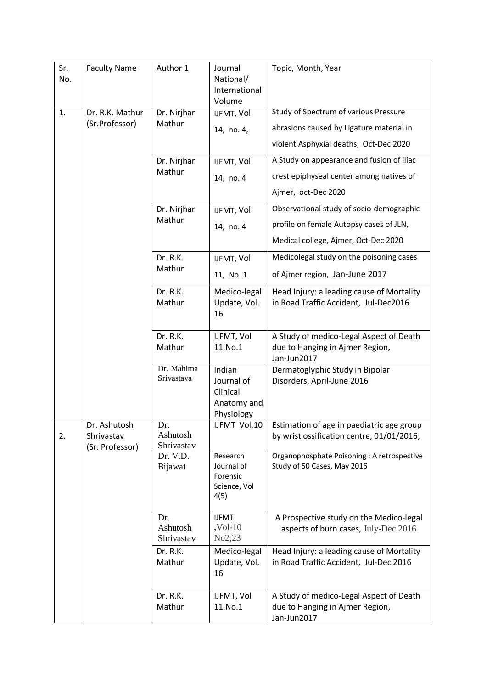| Sr.<br>No. | <b>Faculty Name</b>               | Author 1                      | Journal<br>National/<br>International<br>Volume               | Topic, Month, Year                                                                        |
|------------|-----------------------------------|-------------------------------|---------------------------------------------------------------|-------------------------------------------------------------------------------------------|
| 1.         | Dr. R.K. Mathur<br>(Sr.Professor) | Dr. Nirjhar<br>Mathur         | IJFMT, Vol                                                    | Study of Spectrum of various Pressure                                                     |
|            |                                   |                               | 14, no. 4,                                                    | abrasions caused by Ligature material in                                                  |
|            |                                   |                               |                                                               | violent Asphyxial deaths, Oct-Dec 2020                                                    |
|            |                                   | Dr. Nirjhar<br>Mathur         | IJFMT, Vol                                                    | A Study on appearance and fusion of iliac                                                 |
|            |                                   |                               | 14, no. 4                                                     | crest epiphyseal center among natives of                                                  |
|            |                                   |                               |                                                               | Ajmer, oct-Dec 2020                                                                       |
|            |                                   | Dr. Nirjhar<br>Mathur         | IJFMT, Vol                                                    | Observational study of socio-demographic                                                  |
|            |                                   |                               | 14, no. 4                                                     | profile on female Autopsy cases of JLN,                                                   |
|            |                                   |                               |                                                               | Medical college, Ajmer, Oct-Dec 2020                                                      |
|            |                                   | Dr. R.K.<br>Mathur            | IJFMT, Vol                                                    | Medicolegal study on the poisoning cases                                                  |
|            |                                   |                               | 11, No. 1                                                     | of Ajmer region, Jan-June 2017                                                            |
|            |                                   | Dr. R.K.                      | Medico-legal                                                  | Head Injury: a leading cause of Mortality                                                 |
|            |                                   | Mathur                        | Update, Vol.<br>16                                            | in Road Traffic Accident, Jul-Dec2016                                                     |
|            |                                   | Dr. R.K.                      | IJFMT, Vol                                                    | A Study of medico-Legal Aspect of Death                                                   |
|            |                                   | Mathur                        | 11.No.1                                                       | due to Hanging in Ajmer Region,<br>Jan-Jun2017                                            |
|            |                                   | Dr. Mahima<br>Srivastava      | Indian<br>Journal of<br>Clinical<br>Anatomy and<br>Physiology | Dermatoglyphic Study in Bipolar<br>Disorders, April-June 2016                             |
|            | Dr. Ashutosh                      | Dr.                           | IJFMT Vol.10                                                  | Estimation of age in paediatric age group                                                 |
| 2.         | Shrivastav<br>(Sr. Professor)     | Ashutosh<br>Shrivastav        |                                                               | by wrist ossification centre, 01/01/2016,                                                 |
|            |                                   | Dr. V.D.<br>Bijawat           | Research<br>Journal of<br>Forensic<br>Science, Vol<br>4(5)    | Organophosphate Poisoning: A retrospective<br>Study of 50 Cases, May 2016                 |
|            |                                   | Dr.<br>Ashutosh<br>Shrivastav | <b>IJFMT</b><br>$,$ Vol- $10$<br>No2;23                       | A Prospective study on the Medico-legal<br>aspects of burn cases, July-Dec 2016           |
|            |                                   | Dr. R.K.<br>Mathur            | Medico-legal<br>Update, Vol.<br>16                            | Head Injury: a leading cause of Mortality<br>in Road Traffic Accident, Jul-Dec 2016       |
|            |                                   | Dr. R.K.<br>Mathur            | IJFMT, Vol<br>11.No.1                                         | A Study of medico-Legal Aspect of Death<br>due to Hanging in Ajmer Region,<br>Jan-Jun2017 |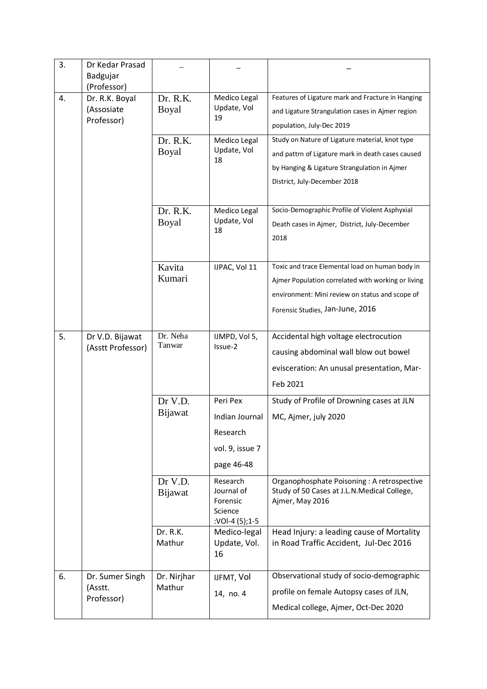| 3. | Dr Kedar Prasad<br>Badgujar<br>(Professor) |                           |                                                                         |                                                                                                                                                                                              |
|----|--------------------------------------------|---------------------------|-------------------------------------------------------------------------|----------------------------------------------------------------------------------------------------------------------------------------------------------------------------------------------|
| 4. | Dr. R.K. Boyal<br>(Assosiate<br>Professor) | Dr. R.K.<br>Boyal         | Medico Legal<br>Update, Vol<br>19                                       | Features of Ligature mark and Fracture in Hanging<br>and Ligature Strangulation cases in Ajmer region<br>population, July-Dec 2019                                                           |
|    |                                            | Dr. R.K.<br>Boyal         | Medico Legal<br>Update, Vol<br>18                                       | Study on Nature of Ligature material, knot type<br>and pattrn of Ligature mark in death cases caused<br>by Hanging & Ligature Strangulation in Ajmer<br>District, July-December 2018         |
|    |                                            | Dr. R.K.<br>Boyal         | Medico Legal<br>Update, Vol<br>18                                       | Socio-Demographic Profile of Violent Asphyxial<br>Death cases in Ajmer, District, July-December<br>2018                                                                                      |
|    |                                            | Kavita<br>Kumari          | IJPAC, Vol 11                                                           | Toxic and trace Elemental load on human body in<br>Ajmer Population correlated with working or living<br>environment: Mini review on status and scope of<br>Forensic Studies, Jan-June, 2016 |
| 5. | Dr V.D. Bijawat<br>(Asstt Professor)       | Dr. Neha<br>Tanwar        | IJMPD, Vol 5,<br>Issue-2                                                | Accidental high voltage electrocution<br>causing abdominal wall blow out bowel<br>evisceration: An unusal presentation, Mar-<br>Feb 2021                                                     |
|    |                                            | Dr V.D.<br>Bijawat        | Peri Pex<br>Indian Journal<br>Research<br>vol. 9, issue 7<br>page 46-48 | Study of Profile of Drowning cases at JLN<br>MC, Ajmer, july 2020                                                                                                                            |
|    |                                            | Dr V.D.<br><b>Bijawat</b> | Research<br>Journal of<br>Forensic<br>Science<br>:VOI-4 (5);1-5         | Organophosphate Poisoning: A retrospective<br>Study of 50 Cases at J.L.N.Medical College,<br>Ajmer, May 2016                                                                                 |
|    |                                            | Dr. R.K.<br>Mathur        | Medico-legal<br>Update, Vol.<br>16                                      | Head Injury: a leading cause of Mortality<br>in Road Traffic Accident, Jul-Dec 2016                                                                                                          |
| 6. | Dr. Sumer Singh<br>(Asstt.<br>Professor)   | Dr. Nirjhar<br>Mathur     | IJFMT, Vol<br>14, no. 4                                                 | Observational study of socio-demographic<br>profile on female Autopsy cases of JLN,<br>Medical college, Ajmer, Oct-Dec 2020                                                                  |